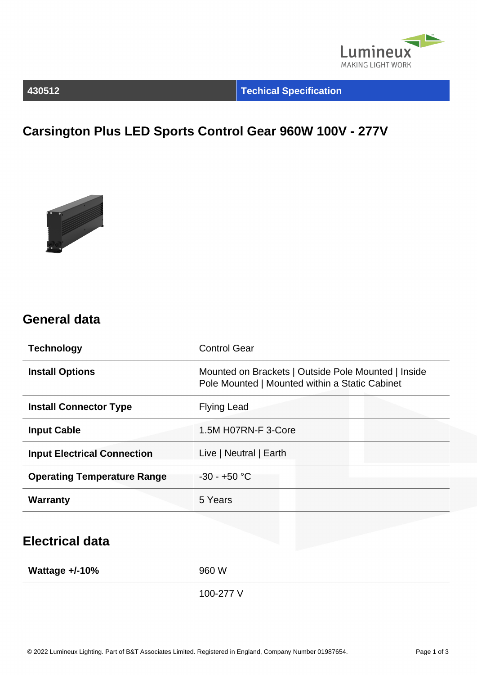

### **430512 Techical Specification**

# **Carsington Plus LED Sports Control Gear 960W 100V - 277V**



### **General data**

| <b>Technology</b>                  | <b>Control Gear</b>                                                                                   |  |  |
|------------------------------------|-------------------------------------------------------------------------------------------------------|--|--|
| <b>Install Options</b>             | Mounted on Brackets   Outside Pole Mounted   Inside<br>Pole Mounted   Mounted within a Static Cabinet |  |  |
| <b>Install Connector Type</b>      | <b>Flying Lead</b>                                                                                    |  |  |
| <b>Input Cable</b>                 | 1.5M H07RN-F 3-Core                                                                                   |  |  |
| <b>Input Electrical Connection</b> | Live   Neutral   Earth                                                                                |  |  |
| <b>Operating Temperature Range</b> | $-30 - +50$ °C                                                                                        |  |  |
| <b>Warranty</b>                    | 5 Years                                                                                               |  |  |
| <b>Electrical data</b>             |                                                                                                       |  |  |
| Wattage $+/-10%$                   | 960 W                                                                                                 |  |  |
|                                    | 100-277 V                                                                                             |  |  |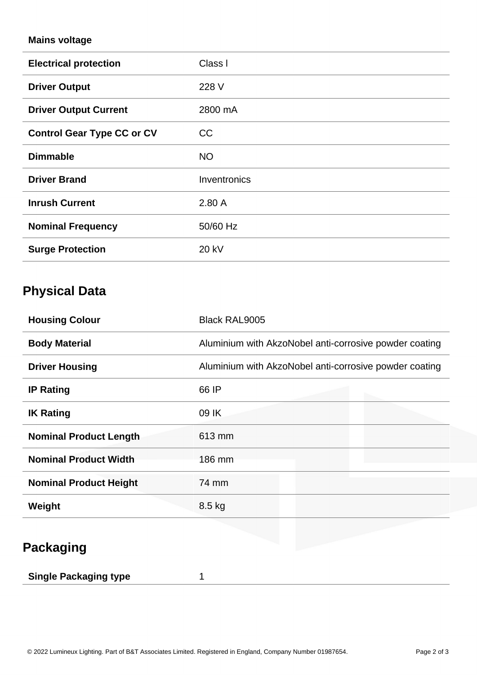### **Mains voltage**

| <b>Electrical protection</b>      | Class I      |
|-----------------------------------|--------------|
| <b>Driver Output</b>              | 228 V        |
| <b>Driver Output Current</b>      | 2800 mA      |
| <b>Control Gear Type CC or CV</b> | <b>CC</b>    |
| <b>Dimmable</b>                   | <b>NO</b>    |
| <b>Driver Brand</b>               | Inventronics |
| <b>Inrush Current</b>             | 2.80A        |
| <b>Nominal Frequency</b>          | 50/60 Hz     |
| <b>Surge Protection</b>           | 20 kV        |

# **Physical Data**

| <b>Housing Colour</b>         | <b>Black RAL9005</b>                                   |  |  |
|-------------------------------|--------------------------------------------------------|--|--|
| <b>Body Material</b>          | Aluminium with AkzoNobel anti-corrosive powder coating |  |  |
| <b>Driver Housing</b>         | Aluminium with AkzoNobel anti-corrosive powder coating |  |  |
| <b>IP Rating</b>              | 66 IP                                                  |  |  |
| <b>IK Rating</b>              | 09 IK                                                  |  |  |
| <b>Nominal Product Length</b> | 613 mm                                                 |  |  |
| <b>Nominal Product Width</b>  | 186 mm                                                 |  |  |
| <b>Nominal Product Height</b> | 74 mm                                                  |  |  |
| Weight                        | 8.5 kg                                                 |  |  |

# **Packaging**

| <b>Single Packaging type</b> |  |  |
|------------------------------|--|--|
|------------------------------|--|--|